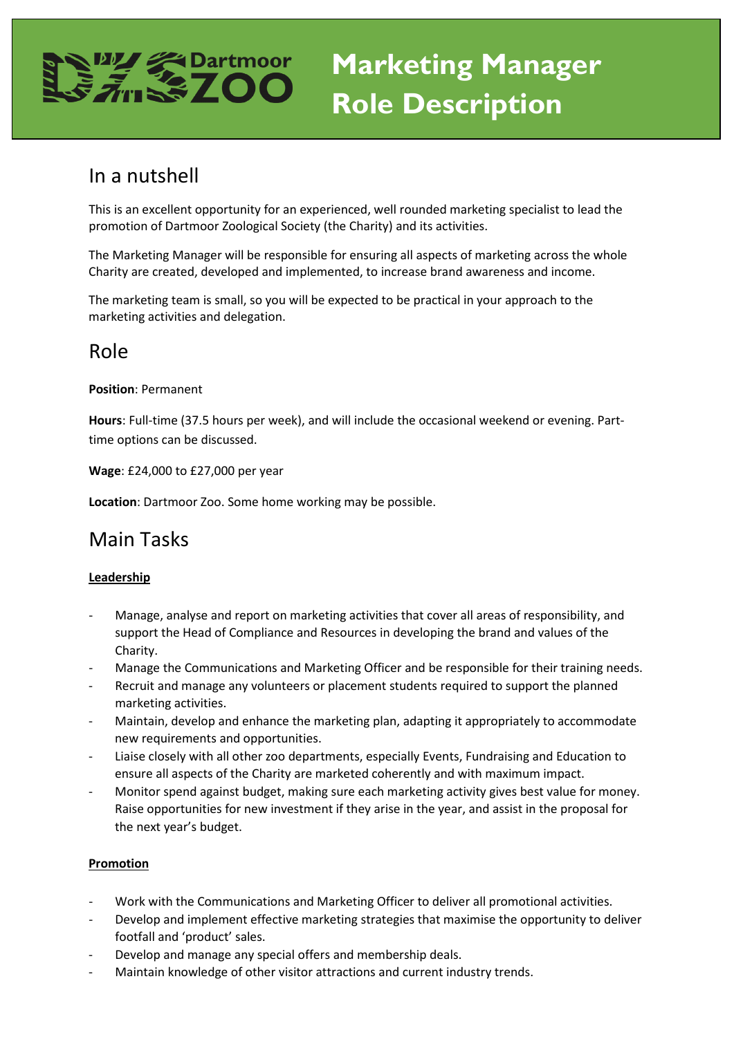# **Marketing Manager Role Description**

### In a nutshell

This is an excellent opportunity for an experienced, well rounded marketing specialist to lead the promotion of Dartmoor Zoological Society (the Charity) and its activities.

The Marketing Manager will be responsible for ensuring all aspects of marketing across the whole Charity are created, developed and implemented, to increase brand awareness and income.

The marketing team is small, so you will be expected to be practical in your approach to the marketing activities and delegation.

### Role

**Position**: Permanent

**Hours**: Full-time (37.5 hours per week), and will include the occasional weekend or evening. Parttime options can be discussed.

**Wage**: £24,000 to £27,000 per year

**Location**: Dartmoor Zoo. Some home working may be possible.

### Main Tasks

#### **Leadership**

- Manage, analyse and report on marketing activities that cover all areas of responsibility, and support the Head of Compliance and Resources in developing the brand and values of the Charity.
- Manage the Communications and Marketing Officer and be responsible for their training needs.
- Recruit and manage any volunteers or placement students required to support the planned marketing activities.
- Maintain, develop and enhance the marketing plan, adapting it appropriately to accommodate new requirements and opportunities.
- Liaise closely with all other zoo departments, especially Events, Fundraising and Education to ensure all aspects of the Charity are marketed coherently and with maximum impact.
- Monitor spend against budget, making sure each marketing activity gives best value for money. Raise opportunities for new investment if they arise in the year, and assist in the proposal for the next year's budget.

#### **Promotion**

- Work with the Communications and Marketing Officer to deliver all promotional activities.
- Develop and implement effective marketing strategies that maximise the opportunity to deliver footfall and 'product' sales.
- Develop and manage any special offers and membership deals.
- Maintain knowledge of other visitor attractions and current industry trends.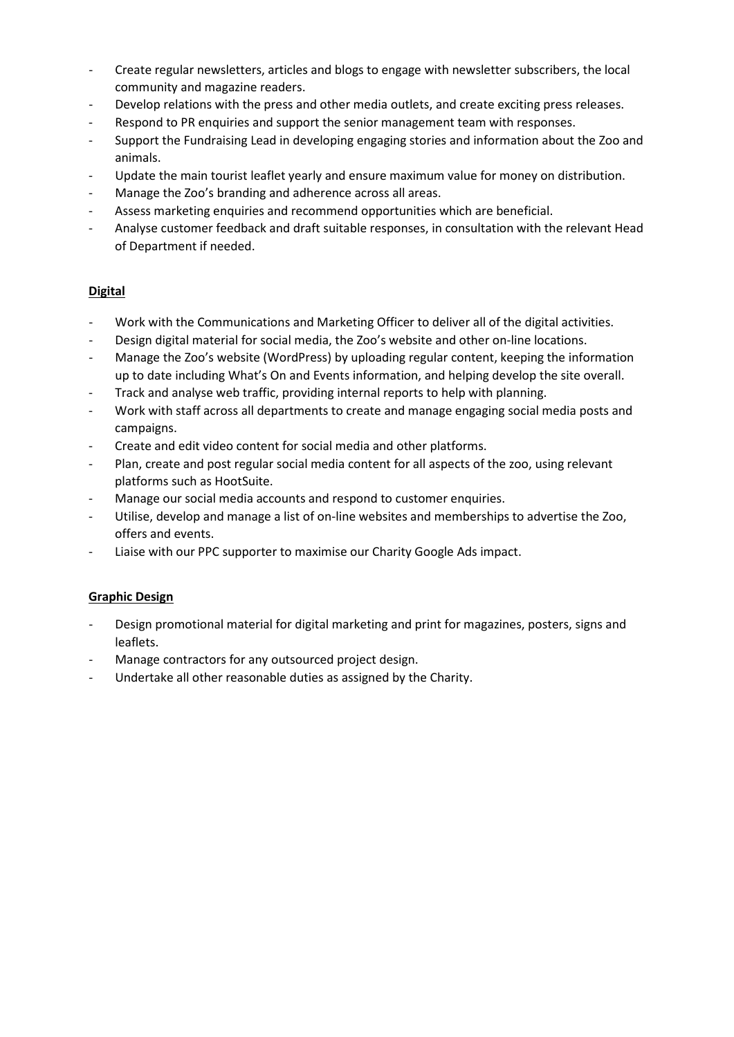- Create regular newsletters, articles and blogs to engage with newsletter subscribers, the local community and magazine readers.
- Develop relations with the press and other media outlets, and create exciting press releases.
- Respond to PR enquiries and support the senior management team with responses.
- Support the Fundraising Lead in developing engaging stories and information about the Zoo and animals.
- Update the main tourist leaflet yearly and ensure maximum value for money on distribution.
- Manage the Zoo's branding and adherence across all areas.
- Assess marketing enquiries and recommend opportunities which are beneficial.
- Analyse customer feedback and draft suitable responses, in consultation with the relevant Head of Department if needed.

### **Digital**

- Work with the Communications and Marketing Officer to deliver all of the digital activities.
- Design digital material for social media, the Zoo's website and other on-line locations.
- Manage the Zoo's website (WordPress) by uploading regular content, keeping the information up to date including What's On and Events information, and helping develop the site overall.
- Track and analyse web traffic, providing internal reports to help with planning.
- Work with staff across all departments to create and manage engaging social media posts and campaigns.
- Create and edit video content for social media and other platforms.
- Plan, create and post regular social media content for all aspects of the zoo, using relevant platforms such as HootSuite.
- Manage our social media accounts and respond to customer enquiries.
- Utilise, develop and manage a list of on-line websites and memberships to advertise the Zoo, offers and events.
- Liaise with our PPC supporter to maximise our Charity Google Ads impact.

#### **Graphic Design**

- Design promotional material for digital marketing and print for magazines, posters, signs and leaflets.
- Manage contractors for any outsourced project design.
- Undertake all other reasonable duties as assigned by the Charity.